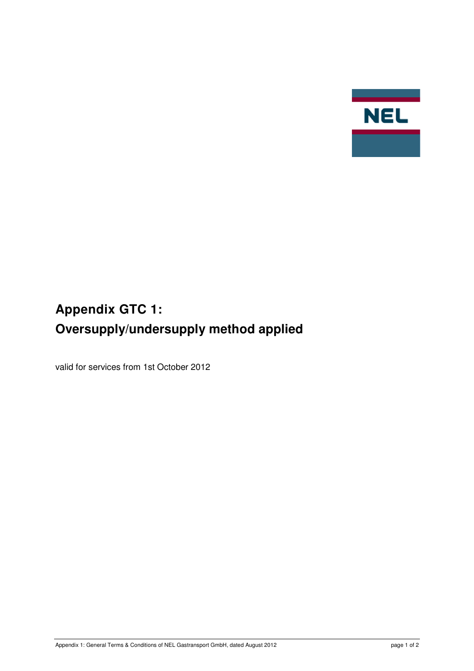

## **Appendix GTC 1: Oversupply/undersupply method applied**

valid for services from 1st October 2012